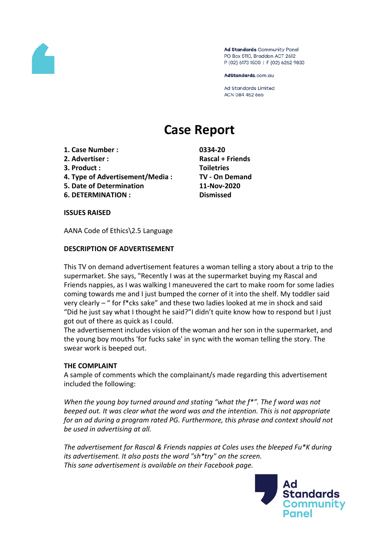

Ad Standards Community Panel PO Box 5110, Braddon ACT 2612 P (02) 6173 1500 | F (02) 6262 9833

AdStandards.com.au

Ad Standards Limited ACN 084 452 666

# **Case Report**

- **1. Case Number : 0334-20**
- 
- **3. Product : Toiletries**
- **4. Type of Advertisement/Media : TV - On Demand**
- **5. Date of Determination 11-Nov-2020**
- **6. DETERMINATION : Dismissed**

**2. Advertiser : Rascal + Friends**

**ISSUES RAISED**

AANA Code of Ethics\2.5 Language

## **DESCRIPTION OF ADVERTISEMENT**

This TV on demand advertisement features a woman telling a story about a trip to the supermarket. She says, "Recently I was at the supermarket buying my Rascal and Friends nappies, as I was walking I maneuvered the cart to make room for some ladies coming towards me and I just bumped the corner of it into the shelf. My toddler said very clearly – " for f\*cks sake" and these two ladies looked at me in shock and said "Did he just say what I thought he said?"I didn't quite know how to respond but I just got out of there as quick as I could.

The advertisement includes vision of the woman and her son in the supermarket, and the young boy mouths 'for fucks sake' in sync with the woman telling the story. The swear work is beeped out.

#### **THE COMPLAINT**

A sample of comments which the complainant/s made regarding this advertisement included the following:

*When the young boy turned around and stating "what the f\*". The f word was not beeped out. It was clear what the word was and the intention. This is not appropriate for an ad during a program rated PG. Furthermore, this phrase and context should not be used in advertising at all.*

*The advertisement for Rascal & Friends nappies at Coles uses the bleeped Fu\*K during its advertisement. It also posts the word "sh\*try" on the screen. This sane advertisement is available on their Facebook page.*

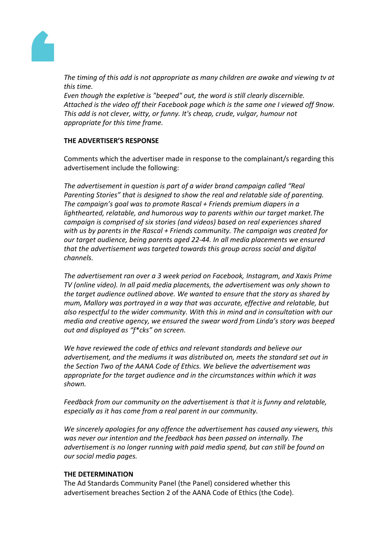

*The timing of this add is not appropriate as many children are awake and viewing tv at this time.*

*Even though the expletive is "beeped" out, the word is still clearly discernible. Attached is the video off their Facebook page which is the same one I viewed off 9now. This add is not clever, witty, or funny. It's cheap, crude, vulgar, humour not appropriate for this time frame.*

## **THE ADVERTISER'S RESPONSE**

Comments which the advertiser made in response to the complainant/s regarding this advertisement include the following:

*The advertisement in question is part of a wider brand campaign called "Real Parenting Stories" that is designed to show the real and relatable side of parenting. The campaign's goal was to promote Rascal + Friends premium diapers in a lighthearted, relatable, and humorous way to parents within our target market.The campaign is comprised of six stories (and videos) based on real experiences shared with us by parents in the Rascal + Friends community. The campaign was created for our target audience, being parents aged 22-44. In all media placements we ensured that the advertisement was targeted towards this group across social and digital channels.*

*The advertisement ran over a 3 week period on Facebook, Instagram, and Xaxis Prime TV (online video). In all paid media placements, the advertisement was only shown to the target audience outlined above. We wanted to ensure that the story as shared by mum, Mallory was portrayed in a way that was accurate, effective and relatable, but also respectful to the wider community. With this in mind and in consultation with our media and creative agency, we ensured the swear word from Linda's story was beeped out and displayed as "f\*cks" on screen.*

*We have reviewed the code of ethics and relevant standards and believe our advertisement, and the mediums it was distributed on, meets the standard set out in the Section Two of the AANA Code of Ethics. We believe the advertisement was appropriate for the target audience and in the circumstances within which it was shown.*

*Feedback from our community on the advertisement is that it is funny and relatable, especially as it has come from a real parent in our community.*

*We sincerely apologies for any offence the advertisement has caused any viewers, this was never our intention and the feedback has been passed on internally. The advertisement is no longer running with paid media spend, but can still be found on our social media pages.*

#### **THE DETERMINATION**

The Ad Standards Community Panel (the Panel) considered whether this advertisement breaches Section 2 of the AANA Code of Ethics (the Code).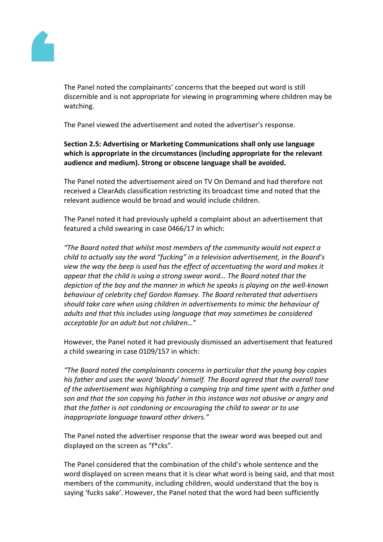

The Panel noted the complainants' concerns that the beeped out word is still discernible and is not appropriate for viewing in programming where children may be watching.

The Panel viewed the advertisement and noted the advertiser's response.

# **Section 2.5: Advertising or Marketing Communications shall only use language which is appropriate in the circumstances (including appropriate for the relevant audience and medium). Strong or obscene language shall be avoided.**

The Panel noted the advertisement aired on TV On Demand and had therefore not received a ClearAds classification restricting its broadcast time and noted that the relevant audience would be broad and would include children.

The Panel noted it had previously upheld a complaint about an advertisement that featured a child swearing in case 0466/17 in which:

*"The Board noted that whilst most members of the community would not expect a child to actually say the word "fucking" in a television advertisement, in the Board's view the way the beep is used has the effect of accentuating the word and makes it appear that the child is using a strong swear word… The Board noted that the depiction of the boy and the manner in which he speaks is playing on the well-known behaviour of celebrity chef Gordon Ramsey. The Board reiterated that advertisers should take care when using children in advertisements to mimic the behaviour of adults and that this includes using language that may sometimes be considered acceptable for an adult but not children…*"

However, the Panel noted it had previously dismissed an advertisement that featured a child swearing in case 0109/157 in which:

*"The Board noted the complainants concerns in particular that the young boy copies his father and uses the word 'bloody' himself. The Board agreed that the overall tone of the advertisement was highlighting a camping trip and time spent with a father and son and that the son copying his father in this instance was not abusive or angry and that the father is not condoning or encouraging the child to swear or to use inappropriate language toward other drivers."*

The Panel noted the advertiser response that the swear word was beeped out and displayed on the screen as "f\*cks".

The Panel considered that the combination of the child's whole sentence and the word displayed on screen means that it is clear what word is being said, and that most members of the community, including children, would understand that the boy is saying 'fucks sake'. However, the Panel noted that the word had been sufficiently